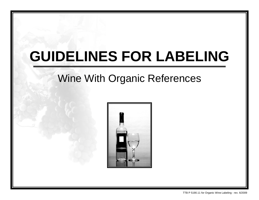# **GUIDELINES FOR LABELING**

# Wine With Organic References

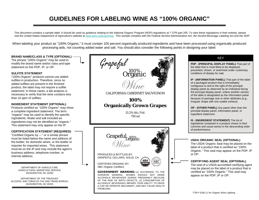# **GUIDELINES FOR LABELING WINE AS "100% ORGANIC"**

This document contains a sample label. It should be used as guidance relating to the National Organic Program (NOP) regulations at 7 CFR part 205. To view these regulations in their entirety, please visit the United States Department of Agriculture's website at [www.ams.usda.gov/nop.](http://www.ams.usda.gov/nop) This sample complies with the Federal Alcohol Administration Act, the Alcohol Beverage Labeling Act and the NOP.

When labeling your product as "100% Organic," it must contain 100 percent organically produced ingredients and have been processed using organically produced processing aids, not counting added water and salt. You should also consider the following points in designing your label:

#### **BRAND NAME/CLASS & TYPE (OPTIONAL)**

The phrase "100% Organic" may be used to modify the brand name and/or class and type statement on the PDP, IP, or OP.

#### **SULFITE STATEMENT**

"100% Organic" products cannot use added sulfites in production. Therefore, since no added sulfites are present in the finished product, the label may not require a sulfite statement. In these cases, a lab analysis is necessary to verify that the wine contains less than 10 ppm of sulfites.

### **INGREDIENT STATEMENT (OPTIONAL)**

Products certified as "100% Organic" may show a complete ingredient statement. The term "organic" may be used to identify the specific ingredients. Water and salt included as ingredients may not be identified as "organic." This statement may only appear on the IP.

### **CERTIFICATION STATEMENT (REQUIRED)**

"Certified Organic by ---" or a similar phrase must be listed below the name and address of: the bottler, for domestic wines; or the bottler or importer for imported wines. This statement must be on the IP and may include the agent's business address, telephone number, or internet address.

> DEPARTMENT OF AGRICULTURE AGRICULTURAL MARKETING SERVICE WASHINGTON, DC 20250

DEPARTMENT OF THE TREASURY ALCOHOL AND TOBACCO TAX AND TRADE BUREAU WASHINGTON, DC 20220



## **KEY**

**PDP - (PRINCIPAL DISPLAY PANEL)** That part of the label that is most likely to be displayed, presented, shown, or examined under customary conditions of display for sale.

**IP - (INFORMATION PANEL)** That part of the label of a packaged product that is immediately contiguous to and to the right of the principal display panel as observed by an individual facing the principal display panel, unless another section of the label is designated as the information panel because of package size or other attributes (e.g., irregular shape with one usable surface).

**OP - (OTHER PANEL)** Any panel other than the principal display panel, information panel, or ingredient statement.

**IS - (INGREDIENT STATEMENT)** The list of ingredients contained in a product shown in their common and usual names in the descending order of predominance.

### **USDA ORGANIC SEAL (OPTIONAL)**

The USDA Organic Seal may be placed on the label of a product that is certified as "100% Organic." This seal may appear on the PDP, IP or OP.

#### **CERTIFYING AGENT SEAL (OPTIONAL)**

The seal of a USDA-accredited certifying agent may be placed on the label of a product that is certified as "100% Organic." This seal may appear on the PDP, IP or OP.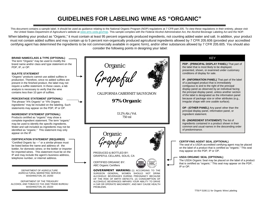# **GUIDELINES FOR LABELING WINE AS "ORGANIC"**

This document contains a sample label. It should be used as guidance relating to the National Organic Program (NOP) regulations at 7 CFR part 205. To view these regulations in their entirety, please visit the United States Department of Agriculture's website at [www.ams.usda.gov/nop.](http://www.ams.usda.gov/nop) This sample complies with the Federal Alcohol Administration Act, the Alcohol Beverage Labeling Act and the NOP.

When labeling your product as "Organic," it must contain at least 95 percent organically produced ingredients, not counting added water and salt. In addition, your product must not contain added sulfites and may contain up to 5 percent non-organically produced agricultural ingredients allowed by 7 CFR 205.606 (provided your accredited certifying agent has determined the ingredients to be not commercially available in organic form), and/or other substances allowed by 7 CFR 205.605. You should also consider the following points in designing your label:

Organic Grapeful **BRAND NAME/CLASS & TYPE (OPTIONAL)** The term "Organic" may be used to modify the brand name and/or class and type statement on the PDP, IP, or OP. **SULFITE STATEMENT** "Organic" products cannot use added sulfites in production. Therefore, since no added sulfites are present in the finished product, the label may not require a sulfite statement. In these cases, a lab analysis is necessary to verify that the wine contains less than 10 ppm of sulfites. **PERCENTAGE STATEMENT (OPTIONAL)** The phrase "X% Organic" or "X% Organic ingredients" may be included on the labeling. Such statements may appear on the PDP, IP or OP. **INGREDIENT STATEMENT (OPTIONAL)** Products certified as "organic" may show a complete ingredient statement. The term "organic" may be used to identify the specific ingredients. Water and salt included as ingredients may not be identified as "organic." This statement may only appear on the IP. **CERTIFICATION STATEMENT (REQUIRED)** "Certified Organic by ---" or a similar phrase must be listed below the name and address of: the bottler, for domestic wines; or the bottler or importer for imported wines. This statement must be on the IP and may include the agent's business address, telephone number, or internet address. **CERTIFYING AGENT SEAL (OPTIONAL)** The seal of a USDA-accredited certifying agent may be placed on the label of a product that is certified as "organic." This seal may appear on the PDP, IP or OP. **USDA ORGANIC SEAL (OPTIONAL)** The USDA Organic Seal may be placed on the label of a product that is certified as "organic." This seal may appear on the PDP, IP or OP. CALIFORNIA CABERNET SAUVIGNON **97% Organic** 13.2% Alc./Vol. 750 ml Organic Grapeful PRODUCED & BOTTLED BY: GRAPEFUL CELLARS, SOLIS, CA CERTIFIED ORGANIC BY: ABC Organic Certifiers GOVERNMENT WARNING: (1) ACCORDING TO THE SURGEON GENERAL, WOMEN SHOULD NOT DRINK ALCOHOLIC BEVERAGES DURING PREGNANCY BECAUSE OF THE RISK OF BIRTH DEFECTS. (2) CONSUMPTION OF ALCOHOLIC BEVERAGES IMPAIRS YOUR ABILITY TO DRIVE A CAR OR OPERATE MACHINERY, AND MAY CAUSE HEALTH PROBLEMS. **PDP - (PRINCIPAL DISPLAY PANEL)** That part of the label that is most likely to be displayed, presented, shown, or examined under customary conditions of display for sale. **IP - (INFORMATION PANEL)** That part of the label of a packaged product that is immediately contiguous to and to the right of the principal display panel as observed by an individual facing the principal display panel, unless another section of the label is designated as the information panel because of package size or other attributes (e.g., irregular shape with one usable surface). **OP - (OTHER PANEL)** Any panel other than the principal display panel, information panel, or ingredient statement. **IS - (INGREDIENT STATEMENT)** The list of ingredients contained in a product shown in their common and usual names in the descending order of predominance. KEY DEPARTMENT OF AGRICULTURE AGRICULTURAL MARKETING SERVICE WASHINGTON, DC 20250 DEPARTMENT OF THE TREASURY ALCOHOL AND TOBACCO TAX AND TRADE BUREAU WASHINGTON, DC 20220 TTB P 5190.11 for Organic Wine Labeling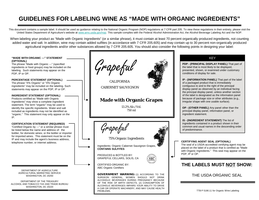# **GUIDELINES FOR LABELING WINE AS "MADE WITH ORGANIC INGREDIENTS"**

This document contains a sample label. It should be used as quidance relating to the National Organic Program (NOP) regulations at 7 CFR part 205. To view these regulations in their entirety, please visit the United States Department of Agriculture's website at [www.ams.usda.gov/nop.](http://www.ams.usda.gov/nop) This sample complies with the Federal Alcohol Administration Act, the Alcohol Beverage Labeling Act and the NOP.

When labeling your product as "Made with Organic Ingredients" (or a similar phrase), it must contain at least 70 percent organically produced ingredients, not counting added water and salt. In addition, wine may contain added sulfites (in accordance with 7 CFR 205.605) and may contain up to 30 percent non-organically produced agricultural ingredients and/or other substances allowed by 7 CFR 205.605. You should also consider the following points in designing your label:

#### **"MADE WITH ORGANIC ---" STATEMENT (OPTIONAL)**

The phrase "Made with Organic ---" (specified ingredients or food groups) may be included on the labeling. Such statements may appear on the PDP, IP or OP.

**PERCENTAGE STATEMENT (OPTIONAL)** The phrase "X% Organic" or "X% Organic ingredients" may be included on the labeling. Such statements may appear on the PDP, IP or OP.

#### **INGREDIENT STATEMENT (OPTIONAL)**

Products certified as "Made with Organic Ingredients" may show a complete ingredient statement. The term "organic" may be used to identify the specific ingredients. Water and salt included as ingredients may not be identified as "organic." This statement may only appear on the IP.

#### **CERTIFICATION STATEMENT (REQUIRED)**

"Certified Organic by ---" or a similar phrase must be listed below the name and address of: the bottler, for domestic wines; or the bottler or importer for imported wines. This statement must be on the IP and may include the agent's business address, telephone number, or internet address.<br>  $\begin{array}{c} \hline \text{c} \end{array}$  **CERTIFYING AGENT SEAL (OPTIONAL)** 

DEPARTMENT OF AGRICULTURE AGRICULTURAL MARKETING SERVICE WASHINGTON, DC 20250

DEPARTMENT OF THE TREASURY ALCOHOL AND TOBACCO TAX AND TRADE BUREAU WASHINGTON, DC 20220

Grapeful

CALIFORNIA CABERNET SAUVIGNON

# **Made with Organic Grapes**

13.2% Alc./Vol. 750 ml



75% Organic Ingredients

Ingredients: Organic Cabernet Sauvignon Grapes, **CONTAINS SULFITES**

PRODUCED & BOTTLED BY: GRAPEFUL CELLARS, SOLIS, CA



CERTIFIED ORGANIC BY: ABC Organic Certifiers

GOVERNMENT WARNING: (1) ACCORDING TO THE SURGEON GENERAL, WOMEN SHOULD NOT DRINK ALCOHOLIC BEVERAGES DURING PREGNANCY BECAUSE OF THE RISK OF BIRTH DEFECTS. (2) CONSUMPTION OF ALCOHOLIC BEVERAGES IMPAIRS YOUR ABILITY TO DRIVE A CAR OR OPERATE MACHINERY, AND MAY CAUSE HEALTH PROBLEMS.

# KEY

**PDP - (PRINCIPAL DISPLAY PANEL)** That part of the label that is most likely to be displayed, presented, shown, or examined under customary conditions of display for sale.

**IP - (INFORMATION PANEL)** That part of the label of a packaged product that is immediately contiguous to and to the right of the principal display panel as observed by an individual facing the principal display panel, unless another section of the label is designated as the information panel because of package size or other attributes (e.g., irregular shape with one usable surface).

**OP - (OTHER PANEL)** Any panel other than the principal display panel, information panel, or ingredient statement.

**IS - (INGREDIENT STATEMENT)** The list of ingredients contained in a product shown in their common and usual names in the descending order of predominance.



The seal of a USDA-accredited certifying agent may be placed on the label of a product that is certified as "Made with Organic Ingredients." This seal may appear on the PDP, IP or OP.

# **THE LABELS MUST NOT SHOW:**

# THE USDA ORGANIC SEAL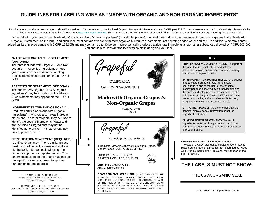# **GUIDELINES FOR LABELING WINE AS "MADE WITH ORGANIC AND NON-ORGANIC INGREDIENTS"**

This document contains a sample label. It should be used as quidance relating to the National Organic Program (NOP) regulations at 7 CFR part 205. To view these regulations in their entirety, please visit the United States Department of Agriculture's website at [www.ams.usda.gov/nop.](http://www.ams.usda.gov/nop) This sample complies with the Federal Alcohol Administration Act, the Alcohol Beverage Labeling Act and the NOP.

When labeling your product as "Made with Organic and Non-Organic Ingredients" (or a similar phrase), the label must indicate the presence of non-organic grapes in the "Made with Organic…" statement on the label, and such wine must contain at least 70 percent organically produced ingredients, not counting added water and salt. In addition, wine may contain added sulfites (in accordance with 7 CFR 205.605) and may contain up to 30 percent non-organically produced agricultural ingredients and/or other substances allowed by 7 CFR 205.605. You should also consider the following points in designing your label:

#### **"MADE WITH ORGANIC ---" STATEMENT (OPTIONAL)**

The phrase "Made with Organic --- and Non-Organic ---" (specified ingredients or food groups) may be included on the labeling. Such statements may appear on the PDP, IP or OP.

# **PERCENTAGE STATEMENT (OPTIONAL)**

The phrase "X% Organic" or "X% Organic ingredients" may be included on the labeling. Such statements may appear on the PDP, IP or OP.

## **INGREDIENT STATEMENT (OPTIONAL)**

Products certified as "Made with Organic Ingredients" may show a complete ingredient statement. The term "organic" may be used to identify the specific ingredients. Water and salt included as ingredients may not be identified as "organic." This statement may only appear on the IP.

## **CERTIFICATION STATEMENT (REQUIRED)**

"Certified Organic by ---" or a similar phrase must be listed below the name and address of: the bottler, for domestic wines; or the bottler or importer for imported wines. This statement must be on the IP and may include the agent's business address, telephone number, or internet address.

> DEPARTMENT OF AGRICULTURE AGRICULTURAL MARKETING SERVICE WASHINGTON, DC 20250

DEPARTMENT OF THE TREASURY ALCOHOL AND TOBACCO TAX AND TRADE BUREAU WASHINGTON, DC 20220

Grapeful

**CALIFORNIA** CABERNET SAUVIGNON

# **Made with Organic Grapes & Non-Organic Grapes**

13.2% Alc./Vol. 750 ml

Grapeful

75% Organic Ingredients

Ingredients: Organic Cabernet Sauvignon Grapes, Merlot Grapes, **CONTAINS SULFITES**

PRODUCED & BOTTLED BY: GRAPEFUL CELLARS, SOLIS, CA



CERTIFIED ORGANIC BY: ABC Organic Certifiers

GOVERNMENT WARNING: (1) ACCORDING TO THE SURGEON GENERAL, WOMEN SHOULD NOT DRINK ALCOHOLIC BEVERAGES DURING PREGNANCY BECAUSE OF THE RISK OF BIRTH DEFECTS. (2) CONSUMPTION OF ALCOHOLIC BEVERAGES IMPAIRS YOUR ABILITY TO DRIVE A CAR OR OPERATE MACHINERY, AND MAY CAUSE HEALTH PROBLEMS.

# KEY

**PDP - (PRINCIPAL DISPLAY PANEL)** That part of the label that is most likely to be displayed, presented, shown, or examined under customary conditions of display for sale.

**IP - (INFORMATION PANEL)** That part of the label of a packaged product that is immediately contiguous to and to the right of the principal display panel as observed by an individual facing the principal display panel, unless another section of the label is designated as the information panel because of package size or other attributes (e.g., irregular shape with one usable surface).

**OP - (OTHER PANEL)** Any panel other than the principal display panel, information panel, or ingredient statement.

**IS - (INGREDIENT STATEMENT)** The list of ingredients contained in a product shown in their common and usual names in the descending order of predominance.



#### **CERTIFYING AGENT SEAL (OPTIONAL)**

The seal of a USDA-accredited certifying agent may be placed on the label of a product that is certified as "Made with Organic Ingredients." This seal may appear on the PDP, IP or OP.

# **THE LABELS MUST NOT SHOW:**

# THE USDA ORGANIC SEAL